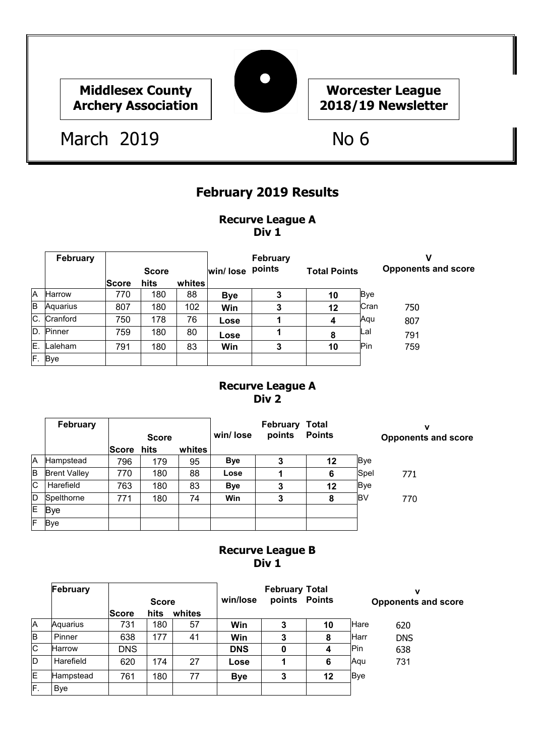# **Middlesex County Archery Association**



# **Worcester League 2018/19 Newsletter**

# March 2019 No 6

# **February 2019 Results**

#### **Recurve League A Div 1**

|    | <b>February</b> |              |              |        |            | February |                     |            | ν                          |
|----|-----------------|--------------|--------------|--------|------------|----------|---------------------|------------|----------------------------|
|    |                 |              | <b>Score</b> |        | win/ lose  | points   | <b>Total Points</b> |            | <b>Opponents and score</b> |
|    |                 | <b>Score</b> | hits         | whites |            |          |                     |            |                            |
| A  | <b>Harrow</b>   | 770          | 180          | 88     | <b>Bye</b> | 3        | 10                  | <b>Bye</b> |                            |
| B  | Aquarius        | 807          | 180          | 102    | Win        | 3        | 12                  | Cran       | 750                        |
|    | C. Cranford     | 750          | 178          | 76     | Lose       |          | 4                   | Aqu        | 807                        |
|    | D. Pinner       | 759          | 180          | 80     | Lose       |          | 8                   | Lal        | 791                        |
| Έ. | Laleham         | 791          | 180          | 83     | Win        | 3        | 10                  | Pin        | 759                        |
|    | F. Bye          |              |              |        |            |          |                     |            |                            |

#### **Recurve League A Div 2**

|     | February            |       |              |        |            | <b>February Total</b> |               |            | ν                          |
|-----|---------------------|-------|--------------|--------|------------|-----------------------|---------------|------------|----------------------------|
|     |                     |       | <b>Score</b> |        | win/lose   | points                | <b>Points</b> |            | <b>Opponents and score</b> |
|     |                     | Score | hits         | whites |            |                       |               |            |                            |
| IA. | Hampstead           | 796   | 179          | 95     | <b>Bye</b> | 3                     | 12            | Bye        |                            |
| B   | <b>Brent Valley</b> | 770   | 180          | 88     | Lose       |                       | 6             | Spel       | 771                        |
| IС  | Harefield           | 763   | 180          | 83     | <b>Bye</b> | 3                     | 12            | <b>Bye</b> |                            |
| ID  | Spelthorne          | 771   | 180          | 74     | Win        | 3                     | 8             | IB٧        | 770                        |
| ΙE  | <b>Bye</b>          |       |              |        |            |                       |               |            |                            |
| F   | <b>Bye</b>          |       |              |        |            |                       |               |            |                            |

### **Recurve League B Div 1**

|              | February      |              | <b>Score</b> |        | win/lose   | <b>February Total</b><br>points Points |    | ν<br><b>Opponents and score</b> |            |
|--------------|---------------|--------------|--------------|--------|------------|----------------------------------------|----|---------------------------------|------------|
|              |               | <b>Score</b> | hits         | whites |            |                                        |    |                                 |            |
| Α            | Aquarius      | 731          | 180          | 57     | Win        | 3                                      | 10 | Hare                            | 620        |
| lΒ           | Pinner        | 638          | 177          | 41     | Win        | 3                                      | 8  | Harr                            | <b>DNS</b> |
| $\mathsf{C}$ | <b>Harrow</b> | <b>DNS</b>   |              |        | <b>DNS</b> | 0                                      |    | Pin                             | 638        |
| ID           | Harefield     | 620          | 174          | 27     | Lose       |                                        | 6  | Agu                             | 731        |
| E            | Hampstead     | 761          | 180          | 77     | <b>Bye</b> | 3                                      | 12 | <b>Bye</b>                      |            |
| F.           | Bye           |              |              |        |            |                                        |    |                                 |            |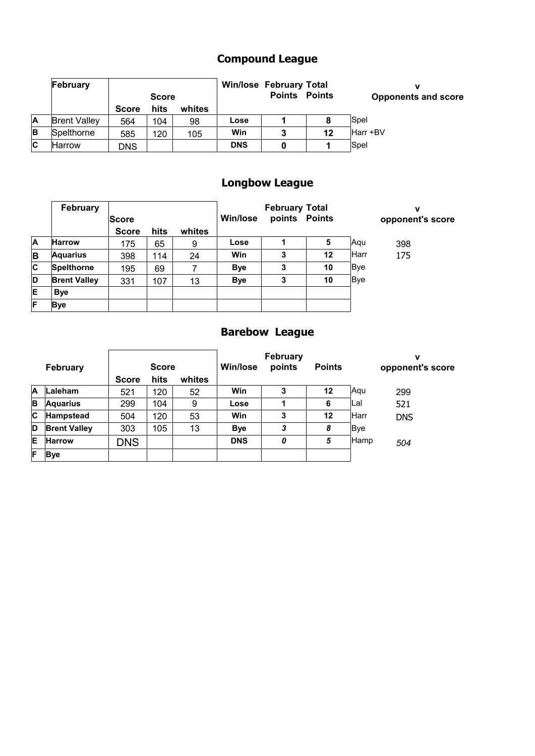# **Compound League**

|          | February            |              | <b>Score</b> |        |            | <b>Win/lose February Total</b><br><b>Points</b> | <b>Points</b> | v<br><b>Opponents and score</b> |
|----------|---------------------|--------------|--------------|--------|------------|-------------------------------------------------|---------------|---------------------------------|
|          |                     | <b>Score</b> | hits         | whites |            |                                                 |               |                                 |
| ΙA       | <b>Brent Valley</b> | 564          | 104          | 98     | Lose       |                                                 |               | Spel                            |
| <b>B</b> | Spelthorne          | 585          | 120          | 105    | Win        | 3                                               | 12            | Harr +BV                        |
| Iс       | Harrow              | DNS          |              |        | <b>DNS</b> |                                                 |               | Spel                            |

# **Longbow League**

|     | February            |              |      |        |                 | <b>February Total</b> |               |            | v                |
|-----|---------------------|--------------|------|--------|-----------------|-----------------------|---------------|------------|------------------|
|     |                     | <b>Score</b> |      |        | <b>Win/lose</b> |                       | points Points |            | opponent's score |
|     |                     | <b>Score</b> | hits | whites |                 |                       |               |            |                  |
| A   | <b>Harrow</b>       | 175          | 65   | 9      | Lose            |                       | 5             | Aqu        | 398              |
| B   | <b>Aquarius</b>     | 398          | 114  | 24     | Win             | 3                     | 12            | Harr       | 175              |
| lc. | <b>Spelthorne</b>   | 195          | 69   |        | <b>Bye</b>      | 3                     | 10            | <b>Bye</b> |                  |
| D   | <b>Brent Valley</b> | 331          | 107  | 13     | <b>Bye</b>      | 3                     | 10            | <b>Bye</b> |                  |
| lE. | <b>Bye</b>          |              |      |        |                 |                       |               |            |                  |
| F   | <b>Bye</b>          |              |      |        |                 |                       |               |            |                  |

# **Barebow League**

|   | February            |              | <b>Score</b> |        | Win/lose   | <b>February</b><br>points | <b>Points</b> |            | v<br>opponent's score |
|---|---------------------|--------------|--------------|--------|------------|---------------------------|---------------|------------|-----------------------|
|   |                     | <b>Score</b> | hits         | whites |            |                           |               |            |                       |
| Α | Laleham             | 521          | 120          | 52     | Win        | 3                         | 12            | Aqu        | 299                   |
| B | <b>Aquarius</b>     | 299          | 104          | 9      | Lose       |                           | 6             | Lal        | 521                   |
| C | Hampstead           | 504          | 120          | 53     | Win        | 3                         | 12            | Harr       | <b>DNS</b>            |
| D | <b>Brent Valley</b> | 303          | 105          | 13     | <b>Bye</b> | 3                         | 8             | <b>Bye</b> |                       |
| E | <b>Harrow</b>       | <b>DNS</b>   |              |        | <b>DNS</b> | 0                         | 5             | Hamp       | 504                   |
| E | <b>Bye</b>          |              |              |        |            |                           |               |            |                       |